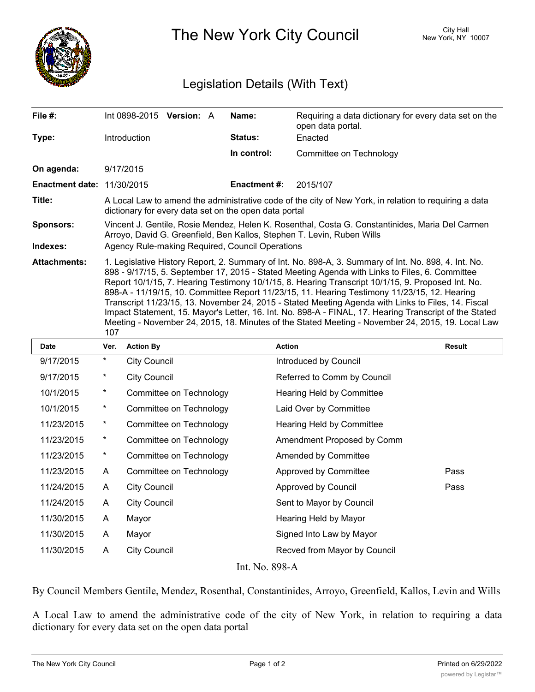

The New York City Council New York, NY 10007

## Legislation Details (With Text)

| File #:                           | Int 0898-2015 Version: A                                                                                                                                                                                                                                                                                                                                                                                                                                                                                                                                                                                                                                                                                                                |  |  | Name:               | Requiring a data dictionary for every data set on the<br>open data portal. |  |  |  |
|-----------------------------------|-----------------------------------------------------------------------------------------------------------------------------------------------------------------------------------------------------------------------------------------------------------------------------------------------------------------------------------------------------------------------------------------------------------------------------------------------------------------------------------------------------------------------------------------------------------------------------------------------------------------------------------------------------------------------------------------------------------------------------------------|--|--|---------------------|----------------------------------------------------------------------------|--|--|--|
| Type:                             | <b>Introduction</b>                                                                                                                                                                                                                                                                                                                                                                                                                                                                                                                                                                                                                                                                                                                     |  |  | Status:             | Enacted                                                                    |  |  |  |
|                                   |                                                                                                                                                                                                                                                                                                                                                                                                                                                                                                                                                                                                                                                                                                                                         |  |  | In control:         | Committee on Technology                                                    |  |  |  |
| On agenda:                        | 9/17/2015                                                                                                                                                                                                                                                                                                                                                                                                                                                                                                                                                                                                                                                                                                                               |  |  |                     |                                                                            |  |  |  |
| <b>Enactment date: 11/30/2015</b> |                                                                                                                                                                                                                                                                                                                                                                                                                                                                                                                                                                                                                                                                                                                                         |  |  | <b>Enactment #:</b> | 2015/107                                                                   |  |  |  |
| Title:                            | A Local Law to amend the administrative code of the city of New York, in relation to requiring a data<br>dictionary for every data set on the open data portal                                                                                                                                                                                                                                                                                                                                                                                                                                                                                                                                                                          |  |  |                     |                                                                            |  |  |  |
| <b>Sponsors:</b>                  | Vincent J. Gentile, Rosie Mendez, Helen K. Rosenthal, Costa G. Constantinides, Maria Del Carmen<br>Arroyo, David G. Greenfield, Ben Kallos, Stephen T. Levin, Ruben Wills                                                                                                                                                                                                                                                                                                                                                                                                                                                                                                                                                               |  |  |                     |                                                                            |  |  |  |
| Indexes:                          | Agency Rule-making Required, Council Operations                                                                                                                                                                                                                                                                                                                                                                                                                                                                                                                                                                                                                                                                                         |  |  |                     |                                                                            |  |  |  |
| <b>Attachments:</b>               | 1. Legislative History Report, 2. Summary of Int. No. 898-A, 3. Summary of Int. No. 898, 4. Int. No.<br>898 - 9/17/15, 5. September 17, 2015 - Stated Meeting Agenda with Links to Files, 6. Committee<br>Report 10/1/15, 7. Hearing Testimony 10/1/15, 8. Hearing Transcript 10/1/15, 9. Proposed Int. No.<br>898-A - 11/19/15, 10. Committee Report 11/23/15, 11. Hearing Testimony 11/23/15, 12. Hearing<br>Transcript 11/23/15, 13. November 24, 2015 - Stated Meeting Agenda with Links to Files, 14. Fiscal<br>Impact Statement, 15. Mayor's Letter, 16. Int. No. 898-A - FINAL, 17. Hearing Transcript of the Stated<br>Meeting - November 24, 2015, 18. Minutes of the Stated Meeting - November 24, 2015, 19. Local Law<br>107 |  |  |                     |                                                                            |  |  |  |
|                                   |                                                                                                                                                                                                                                                                                                                                                                                                                                                                                                                                                                                                                                                                                                                                         |  |  |                     |                                                                            |  |  |  |

| <b>Date</b>    | Ver.       | <b>Action By</b>        | <b>Action</b>                | <b>Result</b> |  |  |  |  |
|----------------|------------|-------------------------|------------------------------|---------------|--|--|--|--|
| 9/17/2015      | $\ast$     | City Council            | Introduced by Council        |               |  |  |  |  |
| 9/17/2015      | $\star$    | City Council            | Referred to Comm by Council  |               |  |  |  |  |
| 10/1/2015      | $^\star$   | Committee on Technology | Hearing Held by Committee    |               |  |  |  |  |
| 10/1/2015      | $^\star$   | Committee on Technology | Laid Over by Committee       |               |  |  |  |  |
| 11/23/2015     | $\ast$     | Committee on Technology | Hearing Held by Committee    |               |  |  |  |  |
| 11/23/2015     | $^{\star}$ | Committee on Technology | Amendment Proposed by Comm   |               |  |  |  |  |
| 11/23/2015     | $^{\star}$ | Committee on Technology | Amended by Committee         |               |  |  |  |  |
| 11/23/2015     | A          | Committee on Technology | Approved by Committee        | Pass          |  |  |  |  |
| 11/24/2015     | A          | City Council            | Approved by Council          | Pass          |  |  |  |  |
| 11/24/2015     | A          | <b>City Council</b>     | Sent to Mayor by Council     |               |  |  |  |  |
| 11/30/2015     | A          | Mayor                   | Hearing Held by Mayor        |               |  |  |  |  |
| 11/30/2015     | A          | Mayor                   | Signed Into Law by Mayor     |               |  |  |  |  |
| 11/30/2015     | A          | <b>City Council</b>     | Recved from Mayor by Council |               |  |  |  |  |
| Int. No. 898-A |            |                         |                              |               |  |  |  |  |

By Council Members Gentile, Mendez, Rosenthal, Constantinides, Arroyo, Greenfield, Kallos, Levin and Wills

A Local Law to amend the administrative code of the city of New York, in relation to requiring a data dictionary for every data set on the open data portal